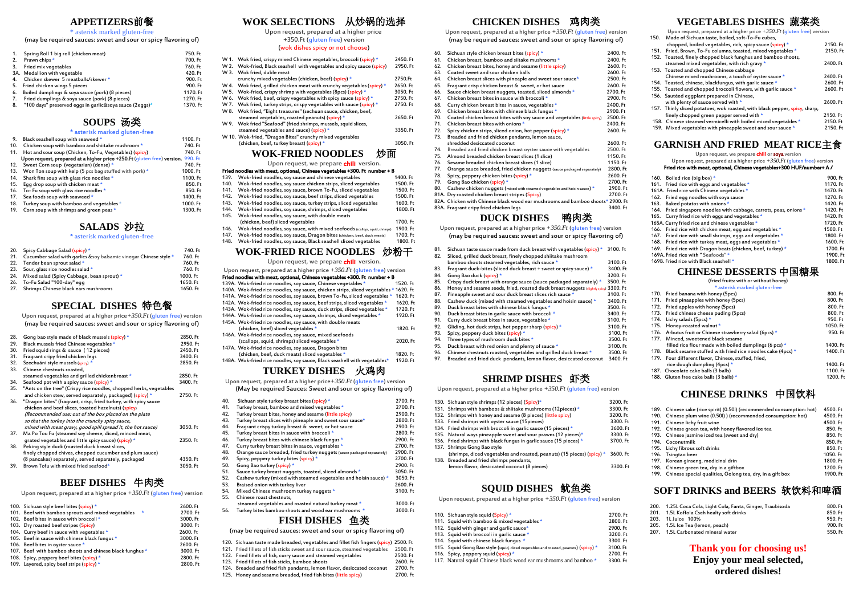## **APPETIZERS**前餐

\* asterisk marked gluten-free

(may be required sauces: sweet and sour or spicy flavoring of)

| 1. | Spring Roll 1 big roll (chicken meat)                   | 750. Ft  |
|----|---------------------------------------------------------|----------|
| 2. | Prawn chips *                                           | 700. Ft  |
| 3. | Fried mix vegetables                                    | 760. Ft  |
|    | 3A. Medallion with vegetable                            | 420. Ft  |
| 4. | Chicken skewer 5 meatballs/skewer *                     | 900. Ft  |
| 5. | Fried chicken wings 5 pieces                            | 900. Ft  |
| 6. | Boiled dumplings & soya sauce (pork) (8 pieces)         | 1170. Ft |
| 7. | Fried dumplings & soya sauce (pork) (8 pieces)          | 1270. Ft |
| 8. | "100 days" preserved eggs in garlic&soya sauce (2eggs)* | 1370. Ft |
|    |                                                         |          |

## **SOUPS** 汤类

\* asterisk marked gluten-free

| 9.  | Black seashell soup with seaweed *                                               | 1100. Ft |
|-----|----------------------------------------------------------------------------------|----------|
| 10. | Chicken soup with bamboo and shiitake mushroom *                                 | 740. Ft  |
| 11. | Hot and sour soup (Chicken, To-Fu, Vegetables) (spicy)                           | 740. Ft  |
|     | Upon request, prepared at a higher price +250. Ft (gluten free) version. 990. Ft |          |
|     | 12. Sweet Corn soup (vegetarian) (dense) *                                       | 740. Ft  |
|     | 13. Won Ton soup with kelp (5 pcs bag stuffed with pork) *                       | 1000. Ft |
|     | 14. Shark fins soup with glass rice noodles *                                    | 1100. Ft |
|     | 15. Eqq drop soup with chicken meat *                                            | 850. Ft  |
|     | 16. To-Fu soup with glass rice noodles *                                         | 850.Ft   |
| 17. | Sea foods soup with seaweed *                                                    | 1400. Ft |
| 18. | Turkey soup with bamboo and vegetables $\star$                                   | 1000. Ft |
|     | 19. Corn soup with shrimps and green peas *                                      | 1300. Ft |
|     |                                                                                  |          |

## **SALADS** 沙拉

#### \* asterisk marked gluten-free

|     | 20. Spicy Cabbage Salad (spicy) *                                      | 740. Ft  |
|-----|------------------------------------------------------------------------|----------|
|     | 21. Cucumber salad with garlics & soy balsamic vinegar Chinese style * | 760. Ft  |
|     | 22. Tender bean sprout salad *                                         | 760. Ft  |
|     | 23. Sour, glass rice noodles salad *                                   | 760. Ft  |
| 24. | Mixed salad (Spicy Cabbage, bean sprout) *                             | 1000. Ft |
|     | 26. To-Fu Salad "100-day" egg                                          | 1650. Ft |
|     | 27. Shrimps Chinese black ears mushrooms                               | 1650. Ft |

## **SPECIAL DISHES** 特色餐

Upon request, prepared at a higher price*+350.Ft* (gluten free) version (may be required sauces: sweet and sour or spicy flavoring of)

|                                                                    | 2850. Ft                                       |
|--------------------------------------------------------------------|------------------------------------------------|
| Black mussels fried Chinese vegetables *                           | 2950. Ft                                       |
| Fried squid rings & sauce (12 pieces)                              | 2450. Ft                                       |
| Fragrant cripy fried chicken legs                                  | 3400. Ft                                       |
| Szechuáni style mussels (spicy) *                                  | 2850. Ft                                       |
| Chinese chestnuts roasted,                                         |                                                |
| steamed vegetables and grilled chickenbreast *                     | 2850. Ft                                       |
| Seafood pot with a spicy sauce (spicy) *                           | 3400. Ft                                       |
| "Ants on the tree" (Crispy rice noodles, chopped herbs, vegetables |                                                |
| and chicken stew, served separately, packaged) (spicy) *           | 2750. Ft                                       |
| "Dragon bites" (fragrant, crisp, fried turkey, with spicy sauce    |                                                |
| chicken and beef slices, toasted hazelnuts) (spicy)                |                                                |
| (Recommended use: out of the box placed on the plate               |                                                |
| so that the turkey into the crunchy spicy sauce,                   |                                                |
| mixed with meat gravy, good spill spread it, the hot sauce)        | 3050. Ft                                       |
| Ma Po Tou Fu (steamed soy cheese, diced, minced meat,              |                                                |
| grated vegetables and little spicy sauce) (spicy) *                | 2350. Ft                                       |
| Peking style duck (roasted duck breast slices,                     |                                                |
| finely chopped chives, chopped cucumber and plum sauce)            |                                                |
| (8 pancakes) separately, served separately, packaged               | 4350. Ft                                       |
| Brown Tofu with mixed fried seafood*                               | 3050. Ft                                       |
|                                                                    | Gong bao style made of black mussels (spicy) * |

## **BEEF DISHES** 牛肉类

Upon request, prepared at a higher price *+350.Ft* (gluten free) version

| 100. Sichuan style beef bites (spicy) *                       | 2600. Ft |
|---------------------------------------------------------------|----------|
| 101. Beef with bamboo sprouts and mixed vegetables<br>$\star$ | 2700. Ft |
| 102. Beef bites in sauce with broccoli*                       | 3000. Ft |
| 103. Dry roasted beef stripes (Spicy)                         | 3000. Ft |
| 104. Curry beef in sauce with vegetables *                    | 2600. Ft |
| 105. Beef in sauce with chinese black fungus *                | 3000. Ft |
| 106. Beef bites in oyster sauce *                             | 2600. Ft |
| 107. Beef with bamboo shoots and chinese black funghus *      | 3000. Ft |
| 108. Spicy, peppery beef bites (spicy) *                      | 2800. Ft |
| 109. Layered, spicy beef strips (spicy) *                     | 2800. Ft |

## **WOK SELECTIONS** 从炒锅的选择

Upon request, prepared at a higher price

+350.Ft (gluten free) version

#### (wok dishes spicy or not choose)

| W 1. Wok fried, crispy mixed Chinese vegetables, broccoli (spicy) *      | 2450. Ft |
|--------------------------------------------------------------------------|----------|
| W 2. Wok-fried, Black seashell with vegetables and spicy sauce (spicy)   | 2950. Ft |
| W 3. Wok fried, duble meat                                               |          |
| crunchy mixed vegetables (chicken, beef) (spicy) *                       | 2750.Ft  |
| W 4. Wok fried, grilled chicken meat with crunchy vegetables (spicy) $*$ | 2650.Ft  |
| W 5. Wok-fried, crispy shrimp with vegetables (8pcs) (spicy) $*$         | 3050. Ft |
| W 6. Wok fried, beef, crispy vegetables with spicy sauce (spicy) *       | 2750.Ft  |
| W 7. Wok fried, turkey strips, crispy vegetables with sauce (spicy) $*$  | 2750. Ft |
| W 8. Wok fried, "Eight treasures" (sechuan sauce, chicken, beef,         |          |
| steamed vegetables, roasted peanuts) (spicy) *                           | 2650. Ft |
| W 9. Wok fried "Seafood" (fried shrimps, mussels, squid slices,          |          |
| steamed vegetables and sauce) (spicy) *                                  | 3350. Ft |
| W 10. Wok-fried, "Dragon Bites" crunchy mixed vegetables                 |          |
| (chicken, beef, turkey breast) (spicy) *                                 | 3050. Ft |
| <b>WOK-FRIED NOODLES</b>                                                 |          |
| Unon roquest, we propose <b>shill</b> version                            |          |

#### Upon request, we prepare **chili** version.

| Fried noodles with meat, optional, Chinese vegetables +300. Ft number + B |                                                                              |          |
|---------------------------------------------------------------------------|------------------------------------------------------------------------------|----------|
| 139.                                                                      | Wok-fried noodles, soy sauce and chinese vegetables                          | 1400. Ft |
| 140.                                                                      | Wok-fried noodles, soy sauce chicken strips, sliced vegetables               | 1500. Ft |
| 141.                                                                      | Wok-fried noodles, soy sauce, brown To-Fu, sliced vegetables                 | 1500. Ft |
| 142.                                                                      | Wok-fried noodles, soy sauce, beef strips, sliced vegetables                 | 1500. Ft |
| 143.                                                                      | Wok-fried noodles, soy sauce, turkey strips, sliced vegetables               | 1600. Ft |
| 144.                                                                      | Wok-fried noodles, soy sauce, shrimps, sliced vegetables                     | 1800. Ft |
| 145.                                                                      | Wok-fried noodles, soy sauce, with double meats                              |          |
|                                                                           | (chicken, beef) sliced vegetables                                            | 1700. Ft |
| 146.                                                                      | Wok-fried noodles, soy sauce, with mixed seefoods (scallops, squid, shrimps) | 1900. Ft |
| 147.                                                                      | Wok-fried noodles, soy sauce, Dragon bites (chicken, beef, duck meats)       | 1700. Ft |
| 148.                                                                      | Wok-fried noodles, soy sauce, Black seashell sliced vegetables               | 1800. Ft |
|                                                                           |                                                                              | .        |

## **WOK-FRIED RICE NOODLES** 炒粉干

Upon request, we prepare chili version.

| Upon request, prepared at a higher price $+350$ . Ft (qluten free) version            |          |
|---------------------------------------------------------------------------------------|----------|
| Fried noodles with meat, optional, Chinese vegetables +300. Ft number + B             |          |
| 139A. Wok-fried rice noodles, soy sauce, Chinese vegetables *                         | 1520. Ft |
| 140A. Wok-fried rice noodles, soy sauce, chicken strips, sliced vegetables * 1620. Ft |          |
| 141A. Wok-fried rice noodles, soy sauce, brown To-Fu, sliced vegetables *             | 1620. Ft |
| 142A. Wok-fried rice noodles, soy sauce, beef strips, sliced vegetables *             | 1620. Ft |
| 143A. Wok-fried rice noodles, soy sauce, duck strips, sliced vegetables *             | 1720. Ft |
| 144A. Wok-fried rice noodles, soy sauce, shrimps, sliced vegetables *                 | 1920. Ft |
| 145A. Wok-fried rice noodles, soy sauce, with double meats                            |          |
| (chicken, beef) sliced vegetables *                                                   | 1820. Ft |
| 146A. Wok-fried rice noodles, soy sauce, mixed seefoods                               |          |
| (scallops, squid, shrimps) sliced vegetables *                                        | 2020. Ft |
| 147A. Wok-fried rice noodles, soy sauce, Dragon bites                                 |          |
| (chicken, beef, duck meats) sliced vegetables *                                       | 1820. Ft |
| 148A. Wok-fried rice noodles, soy sauce, Black seashell with vegetables*              | 1920. Ft |
|                                                                                       |          |

## **TURKEY DISHES** 火鸡肉

 Upon request, prepared at a higher price*+350.Ft* (gluten free) version (May be required Sauces: Sweet and sour or spicy flavoring of)

| 40. | Sichuan style turkey breast bites (spicy) *                            | 2700. Ft |
|-----|------------------------------------------------------------------------|----------|
| 41. | Turkey breast, bamboo and mixed vegetables *                           | 2700. Ft |
| 42. | Turkey breast bites, honey and sesame (little spicy)                   | 2900. Ft |
| 43. | Turkey breast slices with pineaple and sweet sour sauce*               | 2800. Ft |
| 44. | Fragrant crispy turkey breast & sweet, or hot sauce                    | 2900. Ft |
| 45. | Turkey breast bites in sauce with broccoli *                           | 2800. Ft |
| 46. | Turkey breast bites with chinese black fungus *                        | 2900. Ft |
| 47. | Curry turkey breast bites in sauce, vegetables *                       | 2700. Ft |
| 48. | Orange sauce breaded, fried turkey nuggets (sauce packaged separately) | 2900. Ft |
| 49. | Spicy, peppery turkey bites (spicy) *                                  | 2700. Ft |
| 50. | Gong Bao turkey (spicy) *                                              | 2900. Ft |
| 51. | Sauce turkey breast nuggets, toasted, sliced almonds *                 | 3050.Ft  |
| 52. | Cashew turkey (mixed with steamed vegetables and hoisin sauce) *       | 3050. Ft |
| 53. | Braised onion with turkey liver                                        | 2600. Ft |
| 54. | Mixed Chinese mushroom turkey nuggets *                                | 3100. Ft |
| 55. | Chinese roast chestnuts.                                               |          |
|     | steamed vegetables and roasted natural turkey meat *                   | 3000. Ft |
| 56. | Turkey bites bamboo shoots and wood ear mushrooms *                    | 3000. Ft |
|     | $\cdots$                                                               |          |

## **FISH DISHES** 鱼类

(may be required sauces: sweet and sour or spicy flavoring of)

- 120. Sichuan taste made breaded, vegetables and fillet fish fingers (spicy) 2500. Ft<br>121. Fried fillets of fish sticks sweet and sour sauce, steamed vegetables 2500. Ft
- 121. Fried fillets of fish sticks sweet and sour sauce, steamed vegetables 2500. Ft<br>122. Fried fillets of fish, curry sauce and steamed vegetables 2500. Ft
- 122. Fried fillets of fish, curry sauce and steamed vegetables 2500. Ft<br>123. Fried fillets of fish sticks, bamboo shoots 2600. Ft
- 123. Fried fillets of fish sticks, bamboo shoots 2600. Ft
- 124. Breaded and fried fish pendants, lemon flavor, desiccated coconut 2700. Ft<br>125. Honey and sesame breaded, fried fish bites (little spicy) 2700. Ft 125. Honey and sesame breaded, fried fish bites (little spicy)

## **CHICKEN DISHES** 鸡肉类

Upon request, prepared at a higher price *+350.Ft* (gluten free) version (may be required sauces: sweet and sour or spicy flavoring of)

| 60. | Sichuan style chicken breast bites (spicy) *                                   | 2400. Ft |
|-----|--------------------------------------------------------------------------------|----------|
| 61. | Chicken breast, bamboo and siitake mushrooms *                                 | 2400. Ft |
| 62. | Chicken breast bites, honey and sesame (little spicy)                          | 2600. Ft |
| 63. | Coated sweet and sour chicken balls                                            | 2600. Ft |
| 64. | Chicken breast slices with pineaple and sweet sour sauce*                      | 2500. Ft |
| 65. | Fragrant crisp chicken breast & sweet, or hot sauce                            | 2600. Ft |
| 66. | Sauce chicken breast nuggets, toasted, sliced almonds *                        | 2700. Ft |
| 67. | Chicken breast bites in sauce with broccoli *                                  | 2900. Ft |
| 68. | Curry chicken breast bites in sauce, vegetables *                              | 2400. Ft |
| 69. | Chicken breast bites with chinese black fungus *                               | 2900. Ft |
| 70. | Coated chicken breast bites with soy sauce and vegetables (little spicy)       | 2500.Ft  |
| 71. | Chicken breast bites with onions *                                             | 2400. Ft |
| 72. | Spicy chicken strips, sliced onion, hot pepper (spicy) *                       | 2600. Ft |
| 73. | Breaded and fried chicken pendants, lemon sauce,                               |          |
|     | shredded desiccated coconut                                                    | 2600. Ft |
| 74. | Breaded and fried chicken breast oyster sauce with vegetables                  | 2500. Ft |
| 75. | Almond breaded chicken breast slices (1 slice)                                 | 1150. Ft |
| 76. | Sesame breaded chicken breast slices (1 slice)                                 | 1150. Ft |
| 77. | Orange sauce breaded, fried chicken nuggets (sauce packaged separately)        | 2800. Ft |
| 78. | Spicy, peppery chicken bites (spicy) *                                         | 2600. Ft |
| 79. | Gong Bao chicken (spicy) *                                                     | 2700. Ft |
| 80. | Cashew chicken nuggets (mixed with steamed vegetables and hoisin sauce) *      | 2900. Ft |
|     | 81A. Dry roasted chicken breast stripes (Spicy)                                | 2700. Ft |
|     | 82A. Chicken with Chinese black wood ear mushrooms and bamboo shoots* 2900. Ft |          |
|     | 83A. Fragrant cripy fried chicken legs                                         | 3400. Ft |
|     |                                                                                |          |

## **DUCK DISHES** 鸭肉类

| Upon request, prepared at a higher price $+350. Ft$ (gluten free) version |  |
|---------------------------------------------------------------------------|--|
| (may be required sauces: sweet and sour or spicy flavoring of)            |  |

| 81.<br>82. | Sichuan taste sauce made from duck breast with vegetables (spicy) *<br>Sliced, grilled duck breast, finely chopped shiitake mushroom | 3100. Ft |
|------------|--------------------------------------------------------------------------------------------------------------------------------------|----------|
|            | bamboo shoots steamed vegetables, rich sauce *                                                                                       | 3100. Ft |
| 83.        | Fragrant duck-bites (sliced duck breast + sweet or spicy sauce) *                                                                    | 3400. Ft |
| 84.        | Gong Bao duck (spicy) *                                                                                                              | 3200. Ft |
| 85.        | Crispy duck breast with orange sauce (sauce packaged separately) *                                                                   | 3500. Ft |
| 86.        | Honey and sesame seeds, fried, roasted duck breast nuggets (slightly spicy) 3300. Ft                                                 |          |
| 87.        | Pineapple sweet and sour duck breast slices rich sauce *                                                                             | 3100. Ft |
| 88.        | Cashew duck (mixed with steamed vegetables and hoisin sauce) *                                                                       | 3400. Ft |
| 89.        | Duck breast bites with chinese black fungus *                                                                                        | 3500. Ft |
| 90.        | Duck breast bites in garlic sauce with broccoli *                                                                                    | 3400. Ft |
| 91.        | Curry duck breast bites in sauce, vegetables *                                                                                       | 3100. Ft |
| 92.        | Gliding, hot duck strips, hot pepper sharp (spicy) *                                                                                 | 3100. Ft |
| 93.        | Spicy, peppery duck bites (spicy) *                                                                                                  | 3100. Ft |
| 94.        | Three types of mushroom duck bites *                                                                                                 | 3500. Ft |
| 95.        | Duck breast with red onion and plenty of sauce *                                                                                     | 3100. Ft |
| 96.        | Chinese chestnuts roasted, vegetables and grilled duck breast *                                                                      | 3500. Ft |
| 97.        | Breaded and fried duck pendants, lemon flavor, desiccated coconut                                                                    | 3400. Ft |

## **SHRIMP DISHES** 虾类

Upon request, prepared at a higher price *+350.Ft* (gluten free) version

| 130. Sichuan style shrimps (12 pieces) (Spicy)*                    |                                                                          | 3200. Ft |
|--------------------------------------------------------------------|--------------------------------------------------------------------------|----------|
| 131. Shrimps with bamboos & shiitake mushrooms (12pieces) *        |                                                                          | 3300. Ft |
| 132. Shrimps with honey and sesame (8 pieces) (little spicy)       |                                                                          | 3200. Ft |
| 133. Fried shrimps with oyster sauce (15pieces)                    |                                                                          | 3300. Ft |
| 134. Fried shrimps with broccoli in garlic sauce (15 pieces) *     |                                                                          | 3600. Ft |
| 135. Natural ways pineapple sweet and sour prawns (12 pieces)*     |                                                                          | 3300. Ft |
| 136. Fried shrimps with black fungus in garlic sauce (15 pieces) * |                                                                          | 3700. Ft |
|                                                                    | 137. Shrimps Gong Bao style                                              |          |
|                                                                    | (shrimps, diced vegetables and roasted, peanuts) (15 pieces) (spicy) $*$ | 3600. Ft |
|                                                                    | 138. Breaded and fried shrimps pendants,                                 |          |
|                                                                    | lemon flavor, desiccated coconut (8 pieces)                              | 3300. Ft |
|                                                                    |                                                                          |          |
|                                                                    |                                                                          |          |
|                                                                    | <b>SOUID DISHES</b>                                                      |          |
|                                                                    |                                                                          |          |

### Upon request, prepared at a higher price *+350.Ft* (gluten free) version

| 110. Sichuan style squid (Spicy) *                                                 | 2700. Ft |
|------------------------------------------------------------------------------------|----------|
| 111. Squid with bamboo & mixed vegetables *                                        | 2800. Ft |
| 112. Squid with ginger and garlic sauce*                                           | 2900. Ft |
| 113. Squid with broccoli in garlic sauce *                                         | 3200. Ft |
| 114. Squid with chinese black fungus *                                             | 3300. Ft |
| 115. Squid Gong Bao style (squid, diced vegetables and roasted, peanuts) (spicy) * | 3100. Ft |
| 116. Spicy, peppery squid (spicy) *                                                | 2700. Ft |
| 117. Natural squid Chinese black wood ear mushrooms and bamboo *                   | 3300. Ft |
|                                                                                    |          |

## **VEGETABLES DISHES** 蔬菜类

Upon request, prepared at a higher price *+350.Ft* (gluten free) version

|      | 150. Made of Sichuan taste, boiled, soft-To-Fu cubes,                      |          |
|------|----------------------------------------------------------------------------|----------|
|      | chopped, boiled vegetables, rich, spicy sauce (spicy) *                    | 2150. Ft |
| 151. | Fried, Brown, To-Fu columns, toasted, mixed vegetables *                   | 2150. Ft |
|      | 152. Toasted, finely chopped black funghus and bamboo shoots,              |          |
|      | steamed mixed vegetables, with rich gravy *                                | 2400. Ft |
|      | 153. Toasted and chopped Chinese cabbage                                   |          |
|      | Chinese mixed mushrooms, a touch of oyster sauce *                         | 2400. Ft |
|      | 154. Toasted, chinese, blackfungus, with garlic sauce *                    | 2600. Ft |
|      | 155. Toasted and chopped broccoli flowers, with garlic sauce *             | 2600. Ft |
|      | 156. Sautéed eggplant prepared in Chinese,                                 |          |
|      | with plenty of sauce served with *                                         | 2600. Ft |
|      | 157. Thinly sliced potatoes, wok roasted, with black pepper, spicy, sharp, |          |
|      | finely chopped green pepper served with *                                  | 2150. Ft |
|      | 158. Chinese steamed vermicelli with boiled mixed vegetables *             | 2150. Ft |
|      |                                                                            |          |

#### 159. Mixed vegetables with pineapple sweet and sour sauce \* 2150. Ft

## **GARNISH AND FRIED MEAT RICE**主食

Upon request, we prepare **chili** or soya version

#### Upon request, prepared at a higher price *+350.Ft* (gluten free) version Fried rice with meat, optional, Chinese vegetables+300 HUF/number+ A /

| 160. Boiled rice (big box) *                                       | 900. Ft  |  |
|--------------------------------------------------------------------|----------|--|
| 161. Fried rice with eggs and vegetables *                         | 1170. Ft |  |
| 161A. Fried rice with Chinese vegetables *                         | 1470. Ft |  |
| 162. Fried egg noodles with soya sauce                             | 1270. Ft |  |
| 163. Baked potatos with onions *                                   | 1420. Ft |  |
| 164. Fried singapore noodles with cabbage, carrots, peas, onions * | 1420. Ft |  |
| 165. Curry fried rice with eggs and vegetables *                   | 1420. Ft |  |
| 165A. Curry fried rice and chinese vegetables *                    | 1720. Ft |  |
| 166. Fried rice with chicken meat, egg and vegetables *            | 1500. Ft |  |
| 167. Fried rice with small shrimps, eggs and vegetables *          | 1800. Ft |  |
| 168. Fried rice with turkey meat, eggs and vegetables *            | 1600. Ft |  |
| 169. Fried rice with Dragon beats (chicken, beef, turkey) *        | 1700. Ft |  |
| 169A. Fried rice with " Seafoods" *                                | 1900. Ft |  |
| 169B. Fried rice with Black seashell *                             | 1800. Ft |  |
| IINIECE DECCEDTC 由国粹用                                              |          |  |
|                                                                    |          |  |

#### **CHINESE DESSERTS** 中国糖果 (fried fruits: with or without honey)

| * asterisk marked gluten-free |                                                                 |          |  |
|-------------------------------|-----------------------------------------------------------------|----------|--|
|                               | 170. Fried banana with honey (5pcs)                             | 800. Ft  |  |
|                               | 171. Fried pinaapples with honey (5pcs)                         | 800. Ft  |  |
|                               | 172. Fried apples with honey (5pcs)                             | 800. Ft  |  |
|                               | 173. Fried chinese cheese puding (5pcs)                         | 800. Ft  |  |
|                               | 174. Lichy salads (5pcs) *                                      | 950. Ft  |  |
|                               | 175. Honey-roasted walnut *                                     | 1050. Ft |  |
|                               | 176. Arbutus fruit or Chinese strawberry salad (6pcs) *         | 950. Ft  |  |
|                               | 177. Minced, sweetened black sesame                             |          |  |
|                               | filled rice flour made with boiled dumplings (6 pcs) $*$        | 1400. Ft |  |
|                               | 178. Black sesame stuffed with fried rice noodles cake (4pcs) * | 1400. Ft |  |
|                               | 179. Four different flavor, Chinese, stuffed, fried,            |          |  |
|                               | rice dough dumpling (4pcs) *                                    | 1400. Ft |  |
|                               | 187. Chocolate cake balls (3 balls)                             | 1100. Ft |  |
|                               | 188. Gluten free cake balls (3 balls) *                         | 1200. Ft |  |
|                               |                                                                 |          |  |

## **CHINESE DRINKS** 中国饮料

| 189. Chinese sake (rice spirit) (0.50I) (recommended consumption: hot) | 4500. Ft |
|------------------------------------------------------------------------|----------|
| Chinese plum wine (0.50l)) (recommended consumption: hot)<br>190.      | 4500. Ft |
| Chinese lichy fruit wine                                               | 4500. Ft |
| 192. Chinese green tea, with honey flavored ice tea                    | 850. Ft  |
| 193. Chinese jasmine iced tea (sweet and dry)                          | 850. Ft  |
| 194. Coconutmilk                                                       | 850. Ft  |
| 195. Lichy fibrous soft drinks                                         | 850. Ft  |
| 196. Tsingtao beer                                                     | 1050. Ft |
| 197. Korean ginseng, medicinal drin                                    | 1800. Ft |
| 198. Chinese green tea, dry in a giftbox                               | 1200. Ft |
| 199. Chinese special qualities, Oolong tea, dry, in a gift box         | 1900. Ft |
|                                                                        |          |

## **SOFT DRINKS and BEERS** 软饮料和啤酒

| 200. 1.25L Coca Cola, Light Cola, Fanta, Ginger, Traubisoda | 800. Ft |
|-------------------------------------------------------------|---------|
| 201. 1.5L Koffola Cseh healty soft drinks                   | 850. Ft |
| 203. 1L Juice 100%                                          | 950. Ft |
| 205. 1.5L Ice Tea (lemon, peach)                            | 900. Ft |
| 207. 1.5L Carbonated mineral water                          | 550. Ft |

## **Thank you for choosing us!**

**Enjoy your meal selected, ordered dishes!**